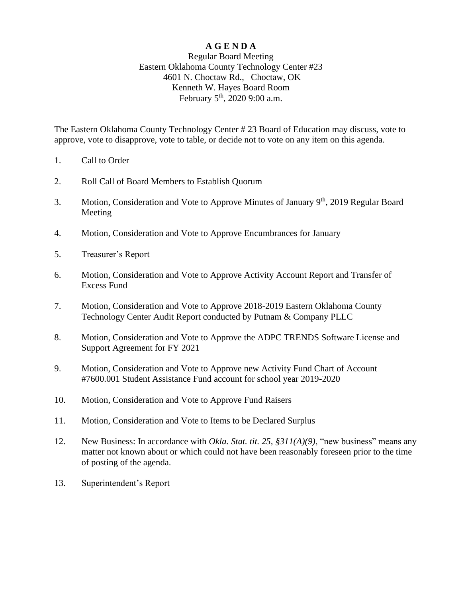# **A G E N D A**

## Regular Board Meeting Eastern Oklahoma County Technology Center #23 4601 N. Choctaw Rd., Choctaw, OK Kenneth W. Hayes Board Room February 5<sup>th</sup>, 2020 9:00 a.m.

The Eastern Oklahoma County Technology Center # 23 Board of Education may discuss, vote to approve, vote to disapprove, vote to table, or decide not to vote on any item on this agenda.

- 1. Call to Order
- 2. Roll Call of Board Members to Establish Quorum
- 3. Motion, Consideration and Vote to Approve Minutes of January 9<sup>th</sup>, 2019 Regular Board Meeting
- 4. Motion, Consideration and Vote to Approve Encumbrances for January
- 5. Treasurer's Report
- 6. Motion, Consideration and Vote to Approve Activity Account Report and Transfer of Excess Fund
- 7. Motion, Consideration and Vote to Approve 2018-2019 Eastern Oklahoma County Technology Center Audit Report conducted by Putnam & Company PLLC
- 8. Motion, Consideration and Vote to Approve the ADPC TRENDS Software License and Support Agreement for FY 2021
- 9. Motion, Consideration and Vote to Approve new Activity Fund Chart of Account #7600.001 Student Assistance Fund account for school year 2019-2020
- 10. Motion, Consideration and Vote to Approve Fund Raisers
- 11. Motion, Consideration and Vote to Items to be Declared Surplus
- 12. New Business: In accordance with *Okla. Stat. tit. 25, §311(A)(9)*, "new business" means any matter not known about or which could not have been reasonably foreseen prior to the time of posting of the agenda.
- 13. Superintendent's Report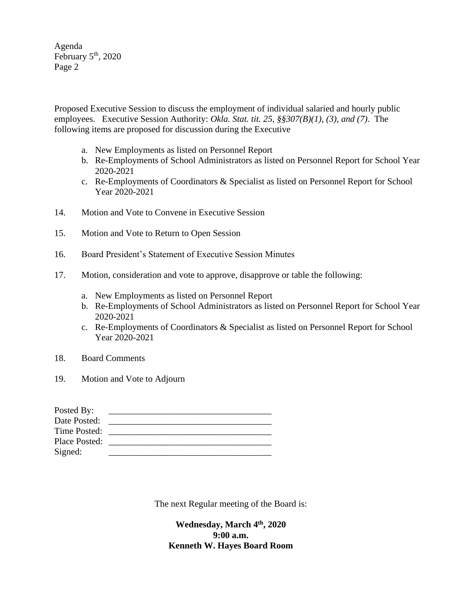Agenda February  $5<sup>th</sup>$ , 2020 Page 2

Proposed Executive Session to discuss the employment of individual salaried and hourly public employees. Executive Session Authority: *Okla. Stat. tit. 25, §§307(B)(1), (3), and (7)*. The following items are proposed for discussion during the Executive

- a. New Employments as listed on Personnel Report
- b. Re-Employments of School Administrators as listed on Personnel Report for School Year 2020-2021
- c. Re-Employments of Coordinators & Specialist as listed on Personnel Report for School Year 2020-2021
- 14. Motion and Vote to Convene in Executive Session
- 15. Motion and Vote to Return to Open Session
- 16. Board President's Statement of Executive Session Minutes
- 17. Motion, consideration and vote to approve, disapprove or table the following:
	- a. New Employments as listed on Personnel Report
	- b. Re-Employments of School Administrators as listed on Personnel Report for School Year 2020-2021
	- c. Re-Employments of Coordinators & Specialist as listed on Personnel Report for School Year 2020-2021
- 18. Board Comments
- 19. Motion and Vote to Adjourn

| Posted By:    |  |
|---------------|--|
| Date Posted:  |  |
| Time Posted:  |  |
| Place Posted: |  |
| Signed:       |  |

The next Regular meeting of the Board is:

**Wednesday, March 4 th, 2020 9:00 a.m. Kenneth W. Hayes Board Room**